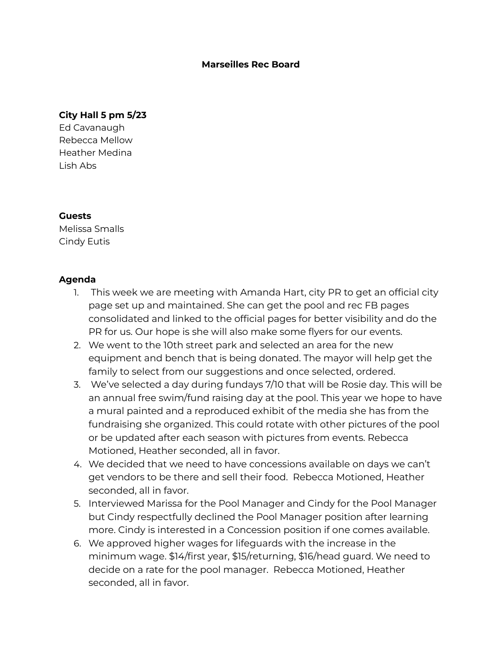## **Marseilles Rec Board**

## **City Hall 5 pm 5/23**

Ed Cavanaugh Rebecca Mellow Heather Medina Lish Abs

## **Guests**

Melissa Smalls Cindy Eutis

## **Agenda**

- 1. This week we are meeting with Amanda Hart, city PR to get an official city page set up and maintained. She can get the pool and rec FB pages consolidated and linked to the official pages for better visibility and do the PR for us. Our hope is she will also make some flyers for our events.
- 2. We went to the 10th street park and selected an area for the new equipment and bench that is being donated. The mayor will help get the family to select from our suggestions and once selected, ordered.
- 3. We've selected a day during fundays 7/10 that will be Rosie day. This will be an annual free swim/fund raising day at the pool. This year we hope to have a mural painted and a reproduced exhibit of the media she has from the fundraising she organized. This could rotate with other pictures of the pool or be updated after each season with pictures from events. Rebecca Motioned, Heather seconded, all in favor.
- 4. We decided that we need to have concessions available on days we can't get vendors to be there and sell their food. Rebecca Motioned, Heather seconded, all in favor.
- 5. Interviewed Marissa for the Pool Manager and Cindy for the Pool Manager but Cindy respectfully declined the Pool Manager position after learning more. Cindy is interested in a Concession position if one comes available.
- 6. We approved higher wages for lifeguards with the increase in the minimum wage. \$14/first year, \$15/returning, \$16/head guard. We need to decide on a rate for the pool manager. Rebecca Motioned, Heather seconded, all in favor.